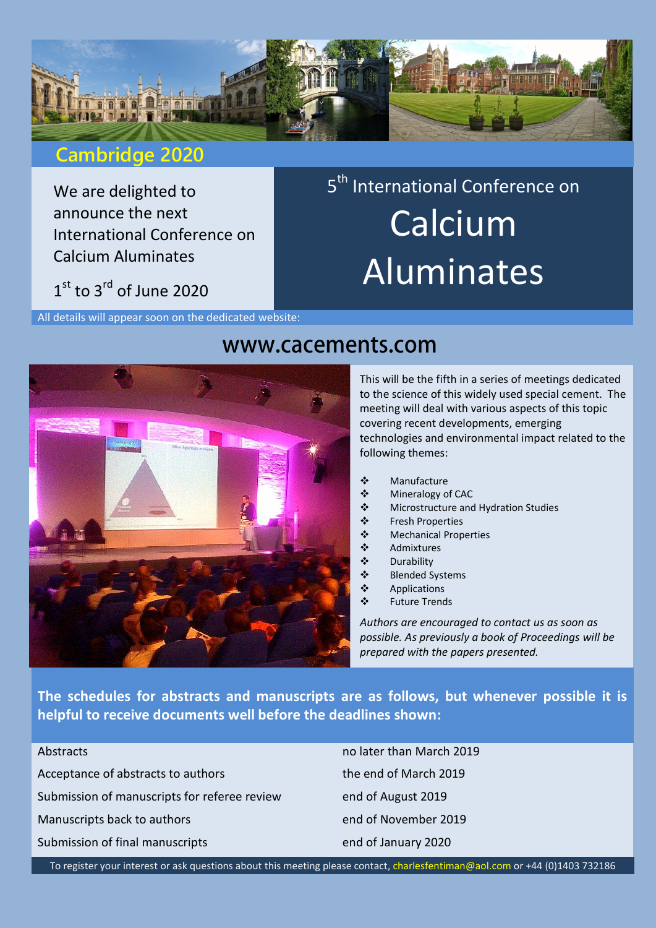

## **Cambridge 2020**

We are delighted to announce the next International Conference on Calcium Aluminates

# $1<sup>st</sup>$  to 3<sup>rd</sup> of June 2020

All details will appear soon on the dedicated website:

# www.cacements.com

This will be the fifth in a series of meetings dedicated to the science of this widely used special cement. The meeting will deal with various aspects of this topic covering recent developments, emerging technologies and environmental impact related to the following themes:

- Manufacture
- ❖ Mineralogy of CAC
- ❖ Microstructure and Hydration Studies

5<sup>th</sup> International Conference on

**Calcium** 

Aluminates

- Fresh Properties
- Mechanical Properties
- ❖ Admixtures<br>❖ Durability
- Durability
- Blended Systems
- ❖ Applications
- Future Trends

*Authors are encouraged to contact us as soon as possible. As previously a book of Proceedings will be prepared with the papers presented.*

**The schedules for abstracts and manuscripts are as follows, but whenever possible it is helpful to receive documents well before the deadlines shown:**

| Abstracts                                             |
|-------------------------------------------------------|
| Acceptance of abstracts to authors                    |
| Submission of manuscripts for referee review          |
| Manuscripts back to authors                           |
| Submission of final manuscripts                       |
| To register your interact or ask questions about this |

no later than March 2019 the end of March 2019 end of August 2019 end of November 2019 end of January 2020

this meeting please contact, [charlesfentiman@aol.com](mailto:charlesfentiman@aol.com) or +44 (0)1403 732186